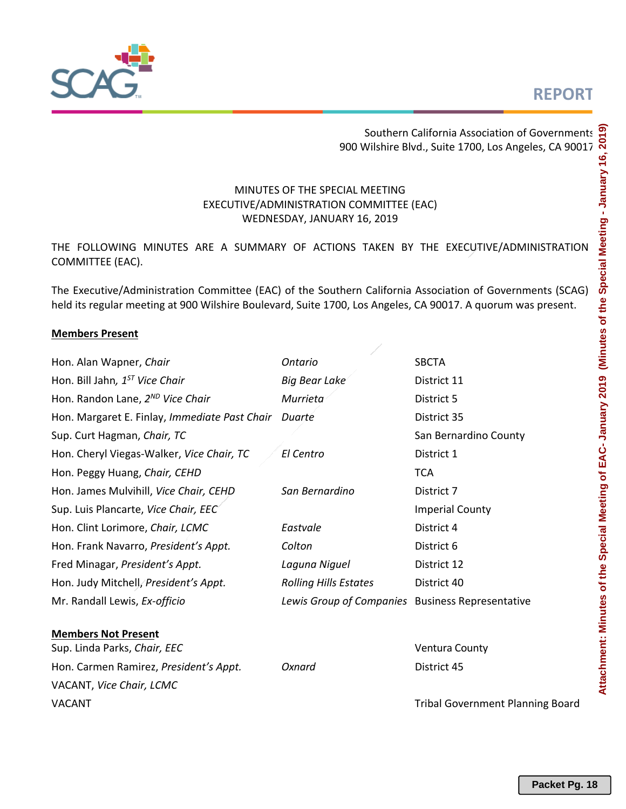# **REPORT**



Southern California Association of Governments 900 Wilshire Blvd., Suite 1700, Los Angeles, CA 90017

# MINUTES OF THE SPECIAL MEETING EXECUTIVE/ADMINISTRATION COMMITTEE (EAC) WEDNESDAY, JANUARY 16, 2019

THE FOLLOWING MINUTES ARE A SUMMARY OF ACTIONS TAKEN BY THE EXECUTIVE/ADMINISTRATION COMMITTEE (EAC).

The Executive/Administration Committee (EAC) of the Southern California Association of Governments (SCAG) held its regular meeting at 900 Wilshire Boulevard, Suite 1700, Los Angeles, CA 90017. A quorum was present.

## **Members Present**

| Hon. Alan Wapner, Chair                       | <b>Ontario</b>                                   | <b>SBCTA</b>                            |  |  |  |  |  |  |
|-----------------------------------------------|--------------------------------------------------|-----------------------------------------|--|--|--|--|--|--|
| Hon. Bill Jahn, 1 <sup>ST</sup> Vice Chair    | <b>Big Bear Lake</b>                             | District 11                             |  |  |  |  |  |  |
| Hon. Randon Lane, 2 <sup>ND</sup> Vice Chair  | Murrieta                                         | District 5                              |  |  |  |  |  |  |
| Hon. Margaret E. Finlay, Immediate Past Chair | Duarte                                           | District 35                             |  |  |  |  |  |  |
| Sup. Curt Hagman, Chair, TC                   |                                                  | San Bernardino County                   |  |  |  |  |  |  |
| Hon. Cheryl Viegas-Walker, Vice Chair, TC     | El Centro                                        | District 1                              |  |  |  |  |  |  |
| Hon. Peggy Huang, Chair, CEHD                 |                                                  | <b>TCA</b>                              |  |  |  |  |  |  |
| Hon. James Mulvihill, Vice Chair, CEHD        | San Bernardino                                   | District 7                              |  |  |  |  |  |  |
| Sup. Luis Plancarte, Vice Chair, EEC          |                                                  | <b>Imperial County</b>                  |  |  |  |  |  |  |
| Hon. Clint Lorimore, Chair, LCMC              | Eastvale                                         | District 4                              |  |  |  |  |  |  |
| Hon. Frank Navarro, President's Appt.         | Colton                                           | District 6                              |  |  |  |  |  |  |
| Fred Minagar, President's Appt.               | Laguna Niguel                                    | District 12                             |  |  |  |  |  |  |
| Hon. Judy Mitchell, President's Appt.         | <b>Rolling Hills Estates</b>                     | District 40                             |  |  |  |  |  |  |
| Mr. Randall Lewis, Ex-officio                 | Lewis Group of Companies Business Representative |                                         |  |  |  |  |  |  |
| <b>Members Not Present</b>                    |                                                  |                                         |  |  |  |  |  |  |
| Sup. Linda Parks, Chair, EEC                  |                                                  | <b>Ventura County</b>                   |  |  |  |  |  |  |
| Hon. Carmen Ramirez, President's Appt.        | Oxnard                                           | District 45                             |  |  |  |  |  |  |
| VACANT, Vice Chair, LCMC                      |                                                  |                                         |  |  |  |  |  |  |
| <b>VACANT</b>                                 |                                                  | <b>Tribal Government Planning Board</b> |  |  |  |  |  |  |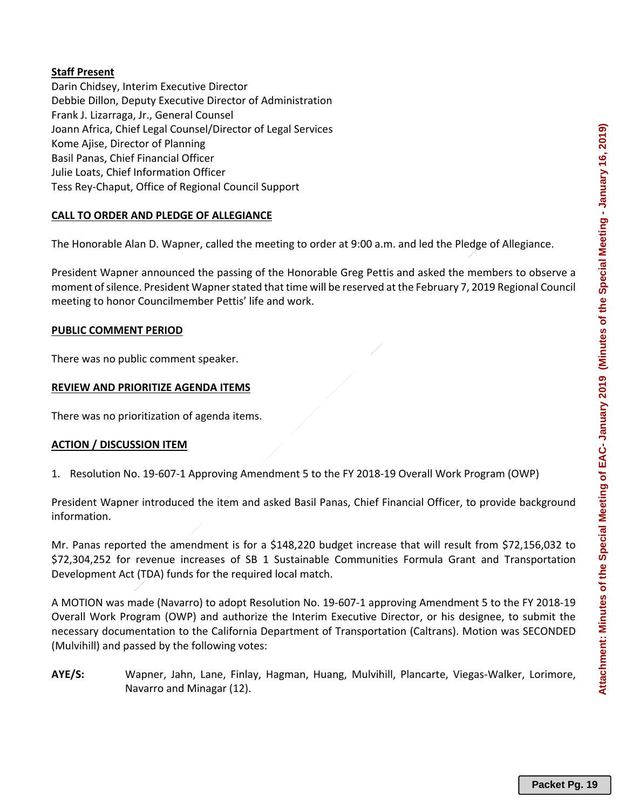## **Staff Present**

Darin Chidsey, Interim Executive Director Debbie Dillon, Deputy Executive Director of Administration Frank J. Lizarraga, Jr., General Counsel Joann Africa, Chief Legal Counsel/Director of Legal Services Kome Ajise, Director of Planning Basil Panas, Chief Financial Officer Julie Loats, Chief Information Officer Tess Rey‐Chaput, Office of Regional Council Support

## **CALL TO ORDER AND PLEDGE OF ALLEGIANCE**

The Honorable Alan D. Wapner, called the meeting to order at 9:00 a.m. and led the Pledge of Allegiance.

President Wapner announced the passing of the Honorable Greg Pettis and asked the members to observe a moment of silence. President Wapner stated that time will be reserved at the February 7, 2019 Regional Council meeting to honor Councilmember Pettis' life and work.

#### **PUBLIC COMMENT PERIOD**

There was no public comment speaker.

## **REVIEW AND PRIORITIZE AGENDA ITEMS**

There was no prioritization of agenda items.

## **ACTION / DISCUSSION ITEM**

1. Resolution No. 19‐607‐1 Approving Amendment 5 to the FY 2018‐19 Overall Work Program (OWP)

President Wapner introduced the item and asked Basil Panas, Chief Financial Officer, to provide background information.

Mr. Panas reported the amendment is for a \$148,220 budget increase that will result from \$72,156,032 to \$72,304,252 for revenue increases of SB 1 Sustainable Communities Formula Grant and Transportation Development Act (TDA) funds for the required local match.

A MOTION was made (Navarro) to adopt Resolution No. 19‐607‐1 approving Amendment 5 to the FY 2018‐19 Overall Work Program (OWP) and authorize the Interim Executive Director, or his designee, to submit the necessary documentation to the California Department of Transportation (Caltrans). Motion was SECONDED (Mulvihill) and passed by the following votes:

**AYE/S:** Wapner, Jahn, Lane, Finlay, Hagman, Huang, Mulvihill, Plancarte, Viegas‐Walker, Lorimore, Navarro and Minagar (12).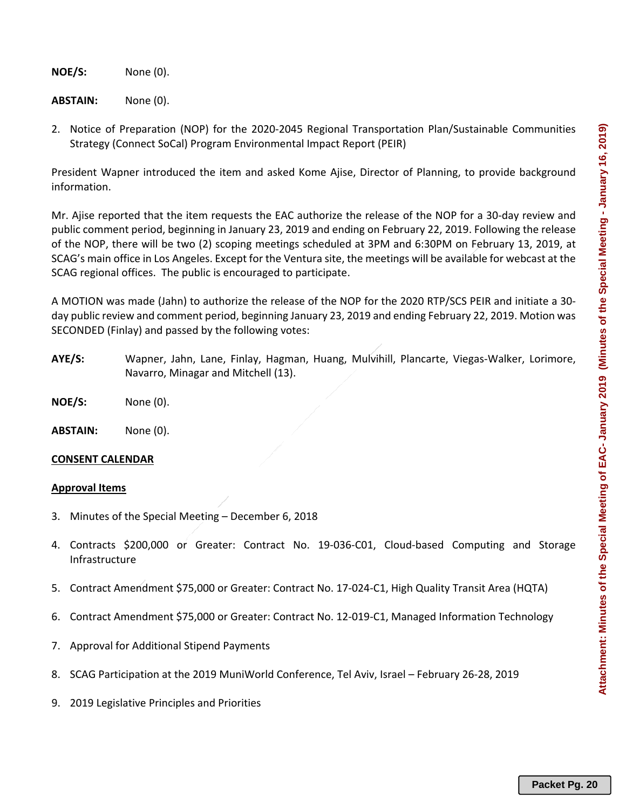**NOE/S:**  None (0).

**ABSTAIN:**  None (0).

2. Notice of Preparation (NOP) for the 2020‐2045 Regional Transportation Plan/Sustainable Communities Strategy (Connect SoCal) Program Environmental Impact Report (PEIR)

President Wapner introduced the item and asked Kome Ajise, Director of Planning, to provide background information.

Mr. Ajise reported that the item requests the EAC authorize the release of the NOP for a 30‐day review and public comment period, beginning in January 23, 2019 and ending on February 22, 2019. Following the release of the NOP, there will be two (2) scoping meetings scheduled at 3PM and 6:30PM on February 13, 2019, at SCAG's main office in Los Angeles. Except for the Ventura site, the meetings will be available for webcast at the SCAG regional offices. The public is encouraged to participate.

A MOTION was made (Jahn) to authorize the release of the NOP for the 2020 RTP/SCS PEIR and initiate a 30‐ day public review and comment period, beginning January 23, 2019 and ending February 22, 2019. Motion was SECONDED (Finlay) and passed by the following votes:

- **AYE/S:** Wapner, Jahn, Lane, Finlay, Hagman, Huang, Mulvihill, Plancarte, Viegas‐Walker, Lorimore, Navarro, Minagar and Mitchell (13).
- **NOE/S:**  None (0).

**ABSTAIN:** None (0).

## **CONSENT CALENDAR**

#### **Approval Items**

- 3. Minutes of the Special Meeting December 6, 2018
- 4. Contracts \$200,000 or Greater: Contract No. 19‐036‐C01, Cloud‐based Computing and Storage Infrastructure
- 5. Contract Amendment \$75,000 or Greater: Contract No. 17‐024‐C1, High Quality Transit Area (HQTA)
- 6. Contract Amendment \$75,000 or Greater: Contract No. 12‐019‐C1, Managed Information Technology
- 7. Approval for Additional Stipend Payments
- 8. SCAG Participation at the 2019 MuniWorld Conference, Tel Aviv, Israel February 26‐28, 2019
- 9. 2019 Legislative Principles and Priorities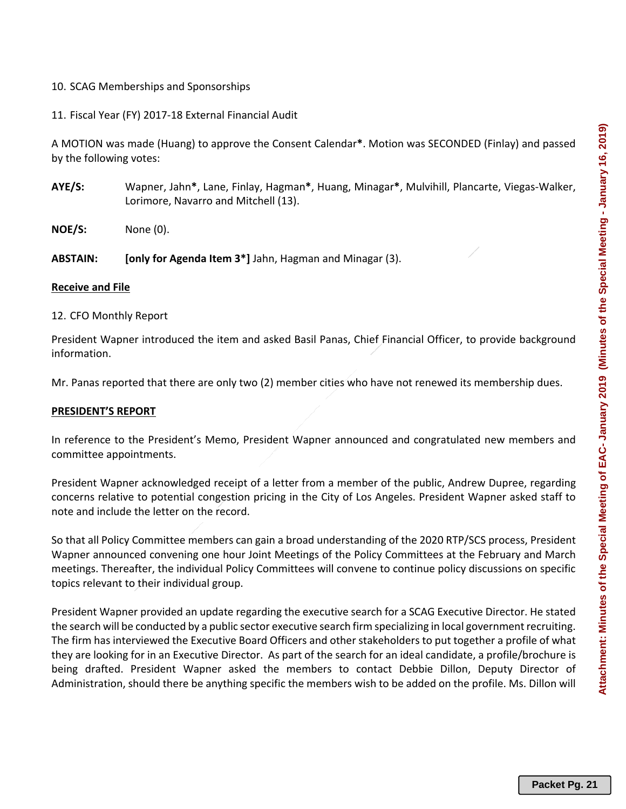## 10. SCAG Memberships and Sponsorships

11. Fiscal Year (FY) 2017‐18 External Financial Audit

A MOTION was made (Huang) to approve the Consent Calendar**\***. Motion was SECONDED (Finlay) and passed by the following votes:

- **AYE/S:** Wapner, Jahn**\***, Lane, Finlay, Hagman**\***, Huang, Minagar**\***, Mulvihill, Plancarte, Viegas‐Walker, Lorimore, Navarro and Mitchell (13).
- **NOE/S:**  None (0).

**ABSTAIN: [only for Agenda Item 3\*]** Jahn, Hagman and Minagar (3).

#### **Receive and File**

12. CFO Monthly Report

President Wapner introduced the item and asked Basil Panas, Chief Financial Officer, to provide background information.

Mr. Panas reported that there are only two (2) member cities who have not renewed its membership dues.

#### **PRESIDENT'S REPORT**

In reference to the President's Memo, President Wapner announced and congratulated new members and committee appointments.

President Wapner acknowledged receipt of a letter from a member of the public, Andrew Dupree, regarding concerns relative to potential congestion pricing in the City of Los Angeles. President Wapner asked staff to note and include the letter on the record.

So that all Policy Committee members can gain a broad understanding of the 2020 RTP/SCS process, President Wapner announced convening one hour Joint Meetings of the Policy Committees at the February and March meetings. Thereafter, the individual Policy Committees will convene to continue policy discussions on specific topics relevant to their individual group.

President Wapner provided an update regarding the executive search for a SCAG Executive Director. He stated the search will be conducted by a public sector executive search firm specializing in local government recruiting. The firm has interviewed the Executive Board Officers and other stakeholders to put together a profile of what they are looking for in an Executive Director. As part of the search for an ideal candidate, a profile/brochure is being drafted. President Wapner asked the members to contact Debbie Dillon, Deputy Director of Administration, should there be anything specific the members wish to be added on the profile. Ms. Dillon will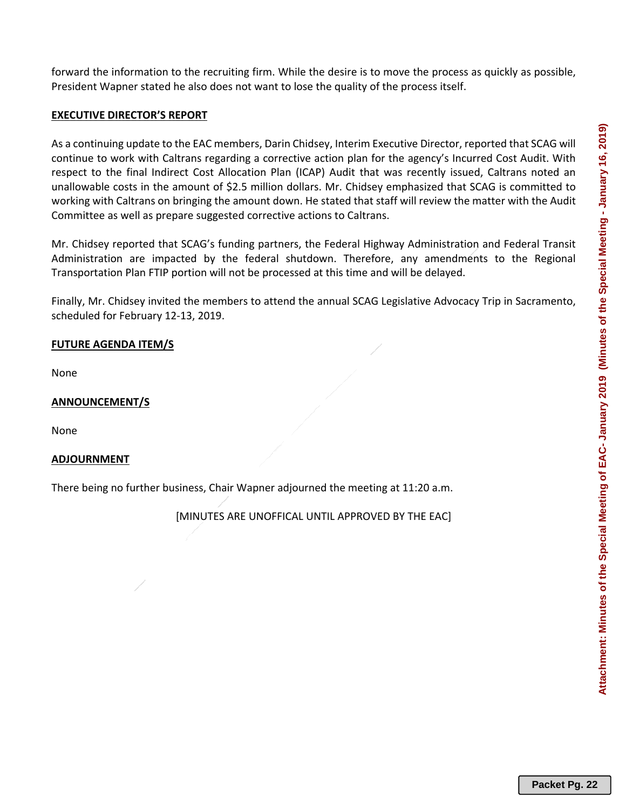forward the information to the recruiting firm. While the desire is to move the process as quickly as possible, President Wapner stated he also does not want to lose the quality of the process itself.

## **EXECUTIVE DIRECTOR'S REPORT**

As a continuing update to the EAC members, Darin Chidsey, Interim Executive Director, reported that SCAG will continue to work with Caltrans regarding a corrective action plan for the agency's Incurred Cost Audit. With respect to the final Indirect Cost Allocation Plan (ICAP) Audit that was recently issued, Caltrans noted an unallowable costs in the amount of \$2.5 million dollars. Mr. Chidsey emphasized that SCAG is committed to working with Caltrans on bringing the amount down. He stated that staff will review the matter with the Audit Committee as well as prepare suggested corrective actions to Caltrans.

Mr. Chidsey reported that SCAG's funding partners, the Federal Highway Administration and Federal Transit Administration are impacted by the federal shutdown. Therefore, any amendments to the Regional Transportation Plan FTIP portion will not be processed at this time and will be delayed.

Finally, Mr. Chidsey invited the members to attend the annual SCAG Legislative Advocacy Trip in Sacramento, scheduled for February 12‐13, 2019.

# **FUTURE AGENDA ITEM/S**

None

## **ANNOUNCEMENT/S**

None

## **ADJOURNMENT**

There being no further business, Chair Wapner adjourned the meeting at 11:20 a.m.

[MINUTES ARE UNOFFICAL UNTIL APPROVED BY THE EAC]